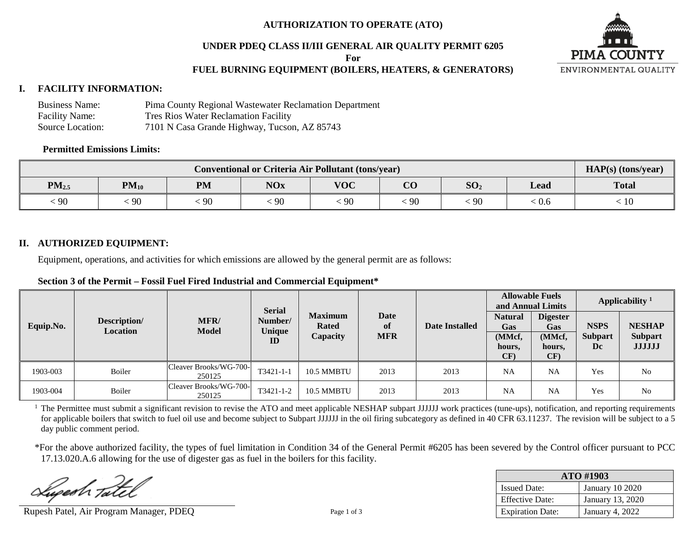## **AUTHORIZATION TO OPERATE (ATO)**

## **UNDER PDEQ CLASS II/III GENERAL AIR QUALITY PERMIT 6205**

**For**

# **FUEL BURNING EQUIPMENT (BOILERS, HEATERS, & GENERATORS)**



#### **I. FACILITY INFORMATION:**

| <b>Business Name:</b> | Pima County Regional Wastewater Reclamation Department |
|-----------------------|--------------------------------------------------------|
| <b>Facility Name:</b> | <b>Tres Rios Water Reclamation Facility</b>            |
| Source Location:      | 7101 N Casa Grande Highway, Tucson, AZ 85743           |

#### **Permitted Emissions Limits:**

| <b>Conventional or Criteria Air Pollutant (tons/year)</b> |                                                                                                         |    |    |    |    |    |     | $HAP(s)$ (tons/year) |
|-----------------------------------------------------------|---------------------------------------------------------------------------------------------------------|----|----|----|----|----|-----|----------------------|
| $PM_{2.5}$                                                | <b>VOC</b><br>$\overline{\text{CO}}$<br><b>NOx</b><br>SO <sub>2</sub><br>$PM_{10}$<br><b>PM</b><br>Lead |    |    |    |    |    |     |                      |
| 90                                                        | 90                                                                                                      | 90 | 90 | 90 | 90 | 90 | 0.6 | 10                   |

# **II. AUTHORIZED EQUIPMENT:**

Equipment, operations, and activities for which emissions are allowed by the general permit are as follows:

|           |                          | <b>Serial</b>                    |                         |                                            | <b>Allowable Fuels</b><br>and Annual Limits |                | Applicability <sup>1</sup>                       |                                                          |                                     |                                                  |
|-----------|--------------------------|----------------------------------|-------------------------|--------------------------------------------|---------------------------------------------|----------------|--------------------------------------------------|----------------------------------------------------------|-------------------------------------|--------------------------------------------------|
| Equip.No. | Description/<br>Location | MFR/<br><b>Model</b>             | Number/<br>Unique<br>ID | <b>Maximum</b><br><b>Rated</b><br>Capacity | Date<br>of<br><b>MFR</b>                    | Date Installed | <b>Natural</b><br>Gas<br>(MMcf,<br>hours,<br>CF) | <b>Digester</b><br><b>Gas</b><br>(MMcf,<br>hours,<br>CF) | <b>NSPS</b><br><b>Subpart</b><br>Dc | <b>NESHAP</b><br><b>Subpart</b><br><b>JJJJJJ</b> |
| 1903-003  | Boiler                   | Cleaver Brooks/WG-700-<br>250125 | $T3421 - 1 - 1$         | 10.5 MMBTU                                 | 2013                                        | 2013           | <b>NA</b>                                        | <b>NA</b>                                                | Yes                                 | No                                               |
| 1903-004  | Boiler                   | Cleaver Brooks/WG-700-<br>250125 | T3421-1-2               | 10.5 MMBTU                                 | 2013                                        | 2013           | <b>NA</b>                                        | <b>NA</b>                                                | Yes                                 | No                                               |

<sup>1</sup> The Permittee must submit a significant revision to revise the ATO and meet applicable NESHAP subpart JJJJJJ work practices (tune-ups), notification, and reporting requirements for applicable boilers that switch to fuel oil use and become subject to Subpart JJJJJJ in the oil firing subcategory as defined in 40 CFR 63.11237. The revision will be subject to a 5 day public comment period.

\*For the above authorized facility, the types of fuel limitation in Condition 34 of the General Permit #6205 has been severed by the Control officer pursuant to PCC 17.13.020.A.6 allowing for the use of digester gas as fuel in the boilers for this facility.

Sugesh Tat

Rupesh Patel, Air Program Manager, PDEQ Page 1 of 3

| ATO #1903               |                        |  |  |  |  |
|-------------------------|------------------------|--|--|--|--|
| <b>Issued Date:</b>     | <b>January 10 2020</b> |  |  |  |  |
| <b>Effective Date:</b>  | January 13, 2020       |  |  |  |  |
| <b>Expiration Date:</b> | January 4, 2022        |  |  |  |  |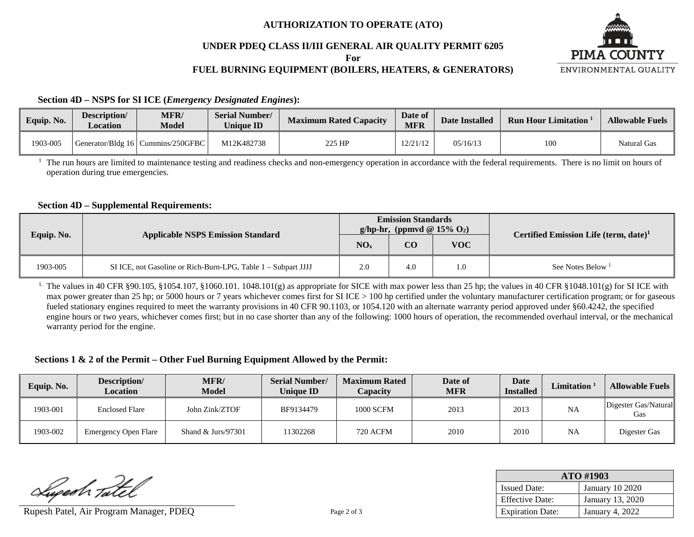## **AUTHORIZATION TO OPERATE (ATO)**

## **UNDER PDEQ CLASS II/III GENERAL AIR QUALITY PERMIT 6205**

**For**

# **FUEL BURNING EQUIPMENT (BOILERS, HEATERS, & GENERATORS)**



**Section 4D – NSPS for SI ICE (***Emergency Designated Engines***):**

| Equip. No. | Description/<br>$\angle$ ocation | <b>MFR/</b><br><b>Model</b>         | <b>Serial Number/</b><br><b>Unique ID</b> | <b>Maximum Rated Capacity</b> | Date of<br><b>MFR</b> | <b>Date Installed</b> | <b>Run Hour Limitation</b> | <b>Allowable Fuels</b> |
|------------|----------------------------------|-------------------------------------|-------------------------------------------|-------------------------------|-----------------------|-----------------------|----------------------------|------------------------|
| 1903-005   |                                  | Generator/Bldg 16   Cummins/250GFBC | M12K482738                                | 225 HP                        | 12/21/12              | 05/16/13              | 100                        | Natural Gas            |

<sup>1</sup> The run hours are limited to maintenance testing and readiness checks and non-emergency operation in accordance with the federal requirements. There is no limit on hours of operation during true emergencies.

#### **Section 4D – Supplemental Requirements:**

|            | <b>Applicable NSPS Emission Standard</b>                      |                 | <b>Emission Standards</b><br>g/hp-hr, (ppmvd @ $15\%$ O <sub>2</sub> ) |            | Certified Emission Life (term, date) <sup>1</sup> |  |
|------------|---------------------------------------------------------------|-----------------|------------------------------------------------------------------------|------------|---------------------------------------------------|--|
| Equip. No. |                                                               | NO <sub>x</sub> | CO                                                                     | <b>VOC</b> |                                                   |  |
| 1903-005   | SI ICE, not Gasoline or Rich-Burn-LPG, Table 1 - Subpart JJJJ | 2.0             | 4.0                                                                    | 1.0        | See Notes Below $1$                               |  |

<sup>1.</sup> The values in 40 CFR §90.105, §1054.107, §1060.101. 1048.101(g) as appropriate for SICE with max power less than 25 hp; the values in 40 CFR §1048.101(g) for SI ICE with max power greater than 25 hp; or 5000 hours or 7 years whichever comes first for SI ICE > 100 hp certified under the voluntary manufacturer certification program; or for gaseous fueled stationary engines required to meet the warranty provisions in 40 CFR 90.1103, or 1054.120 with an alternate warranty period approved under §60.4242, the specified engine hours or two years, whichever comes first; but in no case shorter than any of the following: 1000 hours of operation, the recommended overhaul interval, or the mechanical warranty period for the engine.

# **Sections 1 & 2 of the Permit – Other Fuel Burning Equipment Allowed by the Permit:**

| Equip. No. | Description/<br><b>Location</b> | <b>MFR/</b><br><b>Model</b> | <b>Serial Number/</b><br><b>Unique ID</b> | <b>Maximum Rated</b><br>Capacity | Date of<br><b>MFR</b> | Date<br><b>Installed</b> | Limitation <sup>1</sup> | <b>Allowable Fuels</b>      |
|------------|---------------------------------|-----------------------------|-------------------------------------------|----------------------------------|-----------------------|--------------------------|-------------------------|-----------------------------|
| 1903-001   | <b>Enclosed Flare</b>           | John Zink/ZTOF              | BF9134479                                 | <b>1000 SCFM</b>                 | 2013                  | 2013                     | NA                      | Digester Gas/Natural<br>Gas |
| 1903-002   | <b>Emergency Open Flare</b>     | Shand $&$ Jurs/97301        | 11302268                                  | 720 ACFM                         | 2010                  | 2010                     | <b>NA</b>               | Digester Gas                |

Superh Tatel

Rupesh Patel, Air Program Manager, PDEQ Page 2 of 3

| ATO #1903               |                        |  |  |  |  |
|-------------------------|------------------------|--|--|--|--|
| <b>Issued Date:</b>     | <b>January 10 2020</b> |  |  |  |  |
| <b>Effective Date:</b>  | January 13, 2020       |  |  |  |  |
| <b>Expiration Date:</b> | <b>January 4, 2022</b> |  |  |  |  |